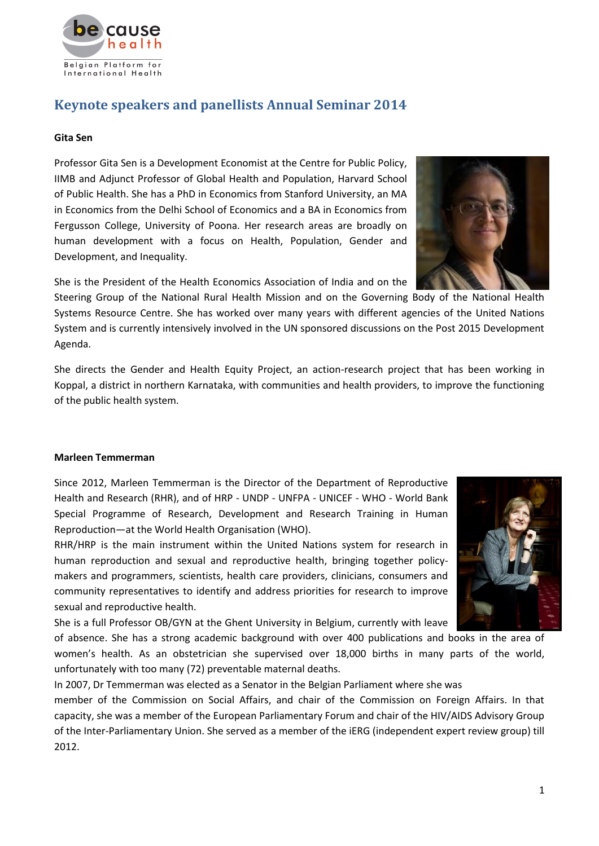

# **Keynote speakers and panellists Annual Seminar 2014**

### **Gita Sen**

Professor Gita Sen is a Development Economist at the Centre for Public Policy, IIMB and Adjunct Professor of Global Health and Population, Harvard School of Public Health. She has a PhD in Economics from Stanford University, an MA in Economics from the Delhi School of Economics and a BA in Economics from Fergusson College, University of Poona. Her research areas are broadly on human development with a focus on Health, Population, Gender and Development, and Inequality.

She is the President of the Health Economics Association of India and on the

Steering Group of the National Rural Health Mission and on the Governing Body of the National Health Systems Resource Centre. She has worked over many years with different agencies of the United Nations System and is currently intensively involved in the UN sponsored discussions on the Post 2015 Development Agenda.

She directs the Gender and Health Equity Project, an action-research project that has been working in Koppal, a district in northern Karnataka, with communities and health providers, to improve the functioning of the public health system.

# **Marleen Temmerman**

Since 2012, Marleen Temmerman is the Director of the Department of Reproductive Health and Research (RHR), and of HRP - UNDP - UNFPA - UNICEF - WHO - World Bank Special Programme of Research, Development and Research Training in Human Reproduction—at the World Health Organisation (WHO).

RHR/HRP is the main instrument within the United Nations system for research in human reproduction and sexual and reproductive health, bringing together policymakers and programmers, scientists, health care providers, clinicians, consumers and community representatives to identify and address priorities for research to improve sexual and reproductive health.

She is a full Professor OB/GYN at the Ghent University in Belgium, currently with leave

of absence. She has a strong academic background with over 400 publications and books in the area of women's health. As an obstetrician she supervised over 18,000 births in many parts of the world, unfortunately with too many (72) preventable maternal deaths.

In 2007, Dr Temmerman was elected as a Senator in the Belgian Parliament where she was

member of the Commission on Social Affairs, and chair of the Commission on Foreign Affairs. In that capacity, she was a member of the European Parliamentary Forum and chair of the HIV/AIDS Advisory Group of the Inter-Parliamentary Union. She served as a member of the iERG (independent expert review group) till 2012.



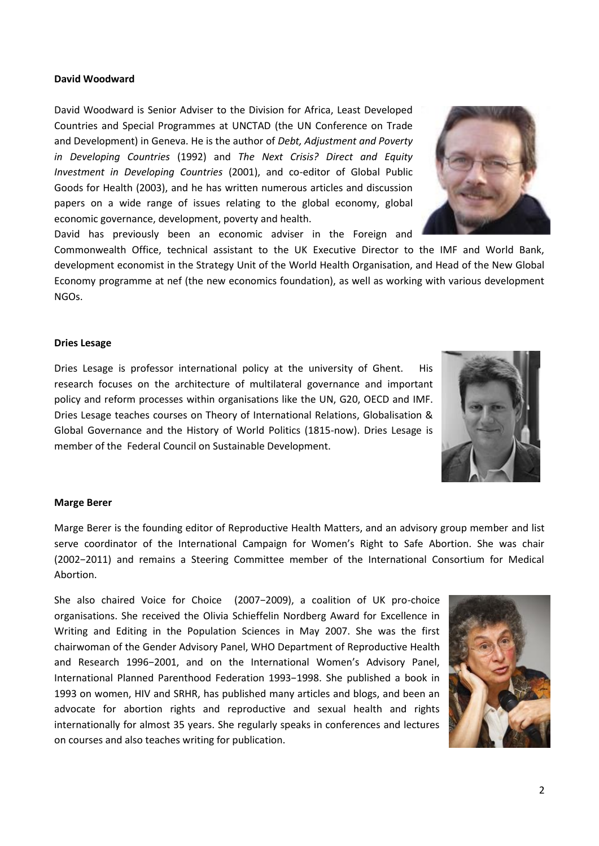### **David Woodward**

David Woodward is Senior Adviser to the Division for Africa, Least Developed Countries and Special Programmes at UNCTAD (the UN Conference on Trade and Development) in Geneva. He is the author of *Debt, Adjustment and Poverty in Developing Countries* (1992) and *The Next Crisis? Direct and Equity Investment in Developing Countries* (2001), and co-editor of Global Public Goods for Health (2003), and he has written numerous articles and discussion papers on a wide range of issues relating to the global economy, global economic governance, development, poverty and health.

David has previously been an economic adviser in the Foreign and

Commonwealth Office, technical assistant to the UK Executive Director to the IMF and World Bank, development economist in the Strategy Unit of the World Health Organisation, and Head of the New Global Economy programme at nef (the new economics foundation), as well as working with various development NGOs.

### **Dries Lesage**

Dries Lesage is professor international policy at the university of Ghent. His research focuses on the architecture of multilateral governance and important policy and reform processes within organisations like the UN, G20, OECD and IMF. Dries Lesage teaches courses on Theory of International Relations, Globalisation & Global Governance and the History of World Politics (1815-now). Dries Lesage is member of the Federal Council on Sustainable Development.

### **Marge Berer**

Marge Berer is the founding editor of Reproductive Health Matters, and an advisory group member and list serve coordinator of the International Campaign for Women's Right to Safe Abortion. She was chair (2002−2011) and remains a Steering Committee member of the International Consortium for Medical Abortion.

She also chaired Voice for Choice (2007−2009), a coalition of UK pro-choice organisations. She received the Olivia Schieffelin Nordberg Award for Excellence in Writing and Editing in the Population Sciences in May 2007. She was the first chairwoman of the Gender Advisory Panel, WHO Department of Reproductive Health and Research 1996−2001, and on the International Women's Advisory Panel, International Planned Parenthood Federation 1993−1998. She published a book in 1993 on women, HIV and SRHR, has published many articles and blogs, and been an advocate for abortion rights and reproductive and sexual health and rights internationally for almost 35 years. She regularly speaks in conferences and lectures on courses and also teaches writing for publication.





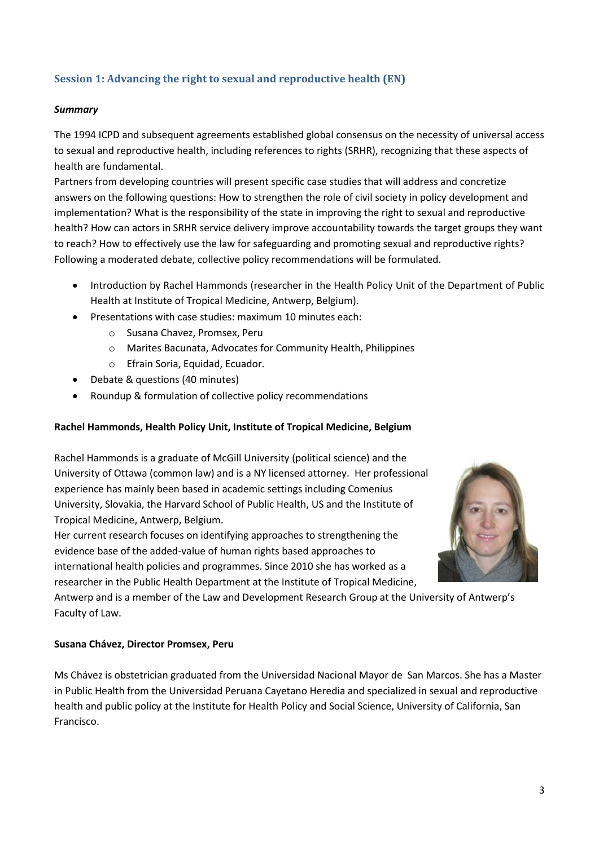# **Session 1: Advancing the right to sexual and reproductive health (EN)**

### *Summary*

The 1994 ICPD and subsequent agreements established global consensus on the necessity of universal access to sexual and reproductive health, including references to rights (SRHR), recognizing that these aspects of health are fundamental.

Partners from developing countries will present specific case studies that will address and concretize answers on the following questions: How to strengthen the role of civil society in policy development and implementation? What is the responsibility of the state in improving the right to sexual and reproductive health? How can actors in SRHR service delivery improve accountability towards the target groups they want to reach? How to effectively use the law for safeguarding and promoting sexual and reproductive rights? Following a moderated debate, collective policy recommendations will be formulated.

- Introduction by Rachel Hammonds (researcher in the Health Policy Unit of the Department of Public Health at Institute of Tropical Medicine, Antwerp, Belgium).
- Presentations with case studies: maximum 10 minutes each:
	- o Susana Chavez, Promsex, Peru
	- o Marites Bacunata, Advocates for Community Health, Philippines
	- o Efrain Soria, Equidad, Ecuador.
- Debate & questions (40 minutes)
- Roundup & formulation of collective policy recommendations

# **Rachel Hammonds, Health Policy Unit, Institute of Tropical Medicine, Belgium**

Rachel Hammonds is a graduate of McGill University (political science) and the University of Ottawa (common law) and is a NY licensed attorney. Her professional experience has mainly been based in academic settings including Comenius University, Slovakia, the Harvard School of Public Health, US and the Institute of Tropical Medicine, Antwerp, Belgium.

Her current research focuses on identifying approaches to strengthening the evidence base of the added-value of human rights based approaches to international health policies and programmes. Since 2010 she has worked as a researcher in the Public Health Department at the Institute of Tropical Medicine,

Antwerp and is a member of the Law and Development Research Group at the University of Antwerp's Faculty of Law.

### **Susana Chávez, Director Promsex, Peru**

Ms Chávez is obstetrician graduated from the Universidad Nacional Mayor de San Marcos. She has a Master in Public Health from the Universidad Peruana Cayetano Heredia and specialized in sexual and reproductive health and public policy at the Institute for Health Policy and Social Science, University of California, San Francisco.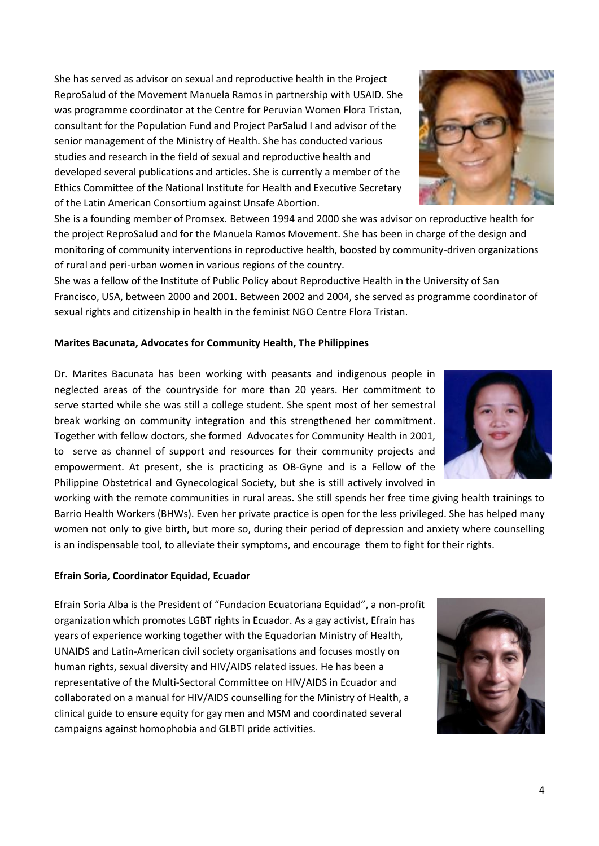She has served as advisor on sexual and reproductive health in the Project ReproSalud of the Movement Manuela Ramos in partnership with USAID. She was programme coordinator at the Centre for Peruvian Women Flora Tristan, consultant for the Population Fund and Project ParSalud I and advisor of the senior management of the Ministry of Health. She has conducted various studies and research in the field of sexual and reproductive health and developed several publications and articles. She is currently a member of the Ethics Committee of the National Institute for Health and Executive Secretary of the Latin American Consortium against Unsafe Abortion.

She is a founding member of Promsex. Between 1994 and 2000 she was advisor on reproductive health for the project ReproSalud and for the Manuela Ramos Movement. She has been in charge of the design and monitoring of community interventions in reproductive health, boosted by community-driven organizations of rural and peri-urban women in various regions of the country.

She was a fellow of the Institute of Public Policy about Reproductive Health in the University of San Francisco, USA, between 2000 and 2001. Between 2002 and 2004, she served as programme coordinator of sexual rights and citizenship in health in the feminist NGO Centre Flora Tristan.

# **Marites Bacunata, Advocates for Community Health, The Philippines**

Dr. Marites Bacunata has been working with peasants and indigenous people in neglected areas of the countryside for more than 20 years. Her commitment to serve started while she was still a college student. She spent most of her semestral break working on community integration and this strengthened her commitment. Together with fellow doctors, she formed Advocates for Community Health in 2001, to serve as channel of support and resources for their community projects and empowerment. At present, she is practicing as OB-Gyne and is a Fellow of the Philippine Obstetrical and Gynecological Society, but she is still actively involved in

working with the remote communities in rural areas. She still spends her free time giving health trainings to Barrio Health Workers (BHWs). Even her private practice is open for the less privileged. She has helped many women not only to give birth, but more so, during their period of depression and anxiety where counselling is an indispensable tool, to alleviate their symptoms, and encourage them to fight for their rights.

# **Efrain Soria, Coordinator Equidad, Ecuador**

Efrain Soria Alba is the President of "Fundacion Ecuatoriana Equidad", a non-profit organization which promotes LGBT rights in Ecuador. As a gay activist, Efrain has years of experience working together with the Equadorian Ministry of Health, UNAIDS and Latin-American civil society organisations and focuses mostly on human rights, sexual diversity and HIV/AIDS related issues. He has been a representative of the Multi-Sectoral Committee on HIV/AIDS in Ecuador and collaborated on a manual for HIV/AIDS counselling for the Ministry of Health, a clinical guide to ensure equity for gay men and MSM and coordinated several campaigns against homophobia and GLBTI pride activities.





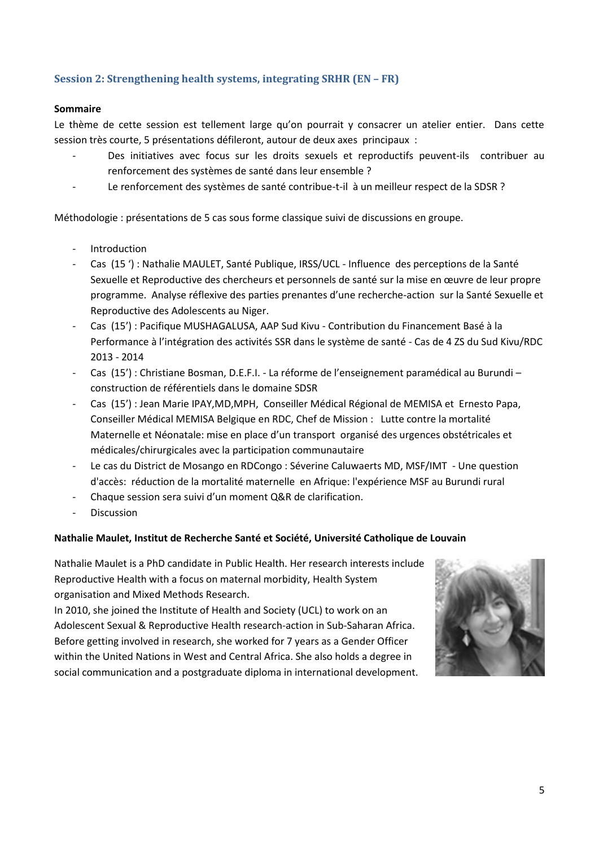# **Session 2: Strengthening health systems, integrating SRHR (EN – FR)**

### **Sommaire**

Le thème de cette session est tellement large qu'on pourrait y consacrer un atelier entier. Dans cette session très courte, 5 présentations défileront, autour de deux axes principaux :

- Des initiatives avec focus sur les droits sexuels et reproductifs peuvent-ils contribuer au renforcement des systèmes de santé dans leur ensemble ?
- Le renforcement des systèmes de santé contribue-t-il à un meilleur respect de la SDSR ?

Méthodologie : présentations de 5 cas sous forme classique suivi de discussions en groupe.

- **Introduction**
- Cas (15 ') : Nathalie MAULET, Santé Publique, IRSS/UCL Influence des perceptions de la Santé Sexuelle et Reproductive des chercheurs et personnels de santé sur la mise en œuvre de leur propre programme. Analyse réflexive des parties prenantes d'une recherche-action sur la Santé Sexuelle et Reproductive des Adolescents au Niger.
- Cas (15') : Pacifique MUSHAGALUSA, AAP Sud Kivu Contribution du Financement Basé à la Performance à l'intégration des activités SSR dans le système de santé - Cas de 4 ZS du Sud Kivu/RDC 2013 - 2014
- Cas (15') : Christiane Bosman, D.E.F.I. La réforme de l'enseignement paramédical au Burundi construction de référentiels dans le domaine SDSR
- Cas (15') : Jean Marie IPAY,MD,MPH, Conseiller Médical Régional de MEMISA et Ernesto Papa, Conseiller Médical MEMISA Belgique en RDC, Chef de Mission : Lutte contre la mortalité Maternelle et Néonatale: mise en place d'un transport organisé des urgences obstétricales et médicales/chirurgicales avec la participation communautaire
- Le cas du District de Mosango en RDCongo : Séverine Caluwaerts MD, MSF/IMT Une question d'accès: réduction de la mortalité maternelle en Afrique: l'expérience MSF au Burundi rural
- Chaque session sera suivi d'un moment Q&R de clarification.
- Discussion

# **Nathalie Maulet, Institut de Recherche Santé et Société, Université Catholique de Louvain**

Nathalie Maulet is a PhD candidate in Public Health. Her research interests include Reproductive Health with a focus on maternal morbidity, Health System organisation and Mixed Methods Research.

In 2010, she joined the Institute of Health and Society (UCL) to work on an Adolescent Sexual & Reproductive Health research-action in Sub-Saharan Africa. Before getting involved in research, she worked for 7 years as a Gender Officer within the United Nations in West and Central Africa. She also holds a degree in social communication and a postgraduate diploma in international development.

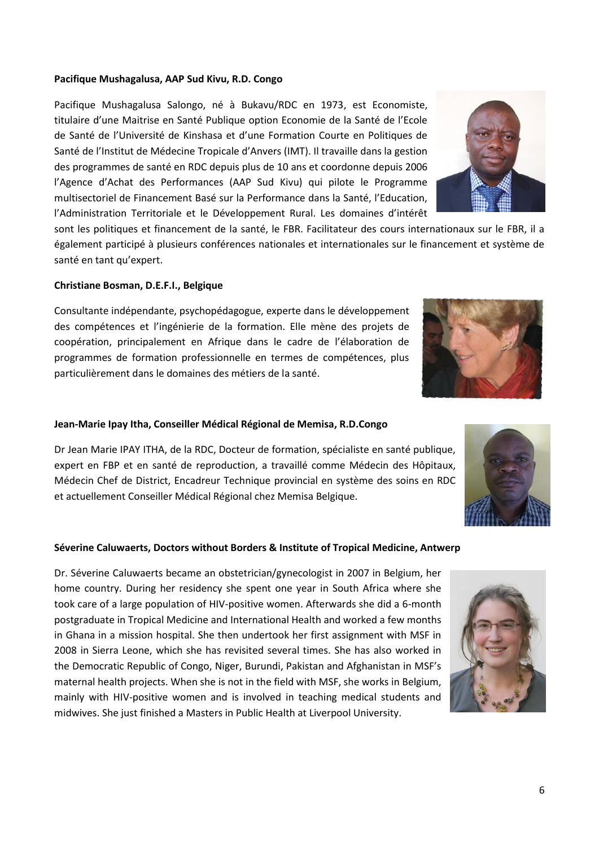### **Pacifique Mushagalusa, AAP Sud Kivu, R.D. Congo**

Pacifique Mushagalusa Salongo, né à Bukavu/RDC en 1973, est Economiste, titulaire d'une Maitrise en Santé Publique option Economie de la Santé de l'Ecole de Santé de l'Université de Kinshasa et d'une Formation Courte en Politiques de Santé de l'Institut de Médecine Tropicale d'Anvers (IMT). Il travaille dans la gestion des programmes de santé en RDC depuis plus de 10 ans et coordonne depuis 2006 l'Agence d'Achat des Performances (AAP Sud Kivu) qui pilote le Programme multisectoriel de Financement Basé sur la Performance dans la Santé, l'Education, l'Administration Territoriale et le Développement Rural. Les domaines d'intérêt

sont les politiques et financement de la santé, le FBR. Facilitateur des cours internationaux sur le FBR, il a également participé à plusieurs conférences nationales et internationales sur le financement et système de santé en tant qu'expert.

### **Christiane Bosman, D.E.F.I., Belgique**

Consultante indépendante, psychopédagogue, experte dans le développement des compétences et l'ingénierie de la formation. Elle mène des projets de coopération, principalement en Afrique dans le cadre de l'élaboration de programmes de formation professionnelle en termes de compétences, plus particulièrement dans le domaines des métiers de la santé.

### **Jean-Marie Ipay Itha, Conseiller Médical Régional de Memisa, R.D.Congo**

Dr Jean Marie IPAY ITHA, de la RDC, Docteur de formation, spécialiste en santé publique, expert en FBP et en santé de reproduction, a travaillé comme Médecin des Hôpitaux, Médecin Chef de District, Encadreur Technique provincial en système des soins en RDC et actuellement Conseiller Médical Régional chez Memisa Belgique.

# **Séverine Caluwaerts, Doctors without Borders & Institute of Tropical Medicine, Antwerp**

Dr. Séverine Caluwaerts became an obstetrician/gynecologist in 2007 in Belgium, her home country. During her residency she spent one year in South Africa where she took care of a large population of HIV-positive women. Afterwards she did a 6-month postgraduate in Tropical Medicine and International Health and worked a few months in Ghana in a mission hospital. She then undertook her first assignment with MSF in 2008 in Sierra Leone, which she has revisited several times. She has also worked in the Democratic Republic of Congo, Niger, Burundi, Pakistan and Afghanistan in MSF's maternal health projects. When she is not in the field with MSF, she works in Belgium, mainly with HIV-positive women and is involved in teaching medical students and midwives. She just finished a Masters in Public Health at Liverpool University.







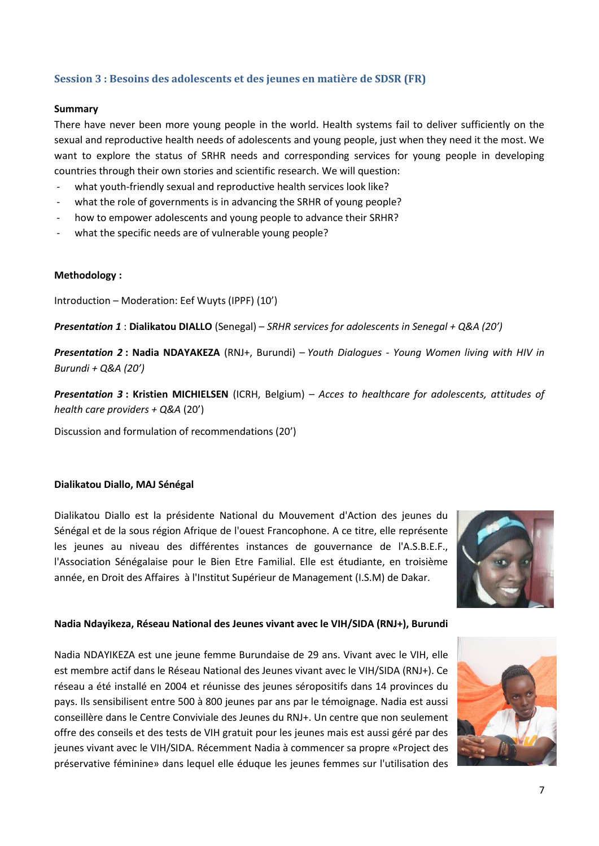# **Session 3 : Besoins des adolescents et des jeunes en matière de SDSR (FR)**

#### **Summary**

There have never been more young people in the world. Health systems fail to deliver sufficiently on the sexual and reproductive health needs of adolescents and young people, just when they need it the most. We want to explore the status of SRHR needs and corresponding services for young people in developing countries through their own stories and scientific research. We will question:

- what youth-friendly sexual and reproductive health services look like?
- what the role of governments is in advancing the SRHR of young people?
- how to empower adolescents and young people to advance their SRHR?
- what the specific needs are of vulnerable young people?

#### **Methodology :**

Introduction – Moderation: Eef Wuyts (IPPF) (10')

*Presentation 1* : **Dialikatou DIALLO** (Senegal) – *SRHR services for adolescents in Senegal + Q&A (20')*

*Presentation 2* **: Nadia NDAYAKEZA** (RNJ+, Burundi) – *Youth Dialogues - Young Women living with HIV in Burundi + Q&A (20')*

*Presentation 3* **: Kristien MICHIELSEN** (ICRH, Belgium) – *Acces to healthcare for adolescents, attitudes of health care providers + Q&A* (20')

Discussion and formulation of recommendations (20')

### **Dialikatou Diallo, MAJ Sénégal**

Dialikatou Diallo est la présidente National du Mouvement d'Action des jeunes du Sénégal et de la sous région Afrique de l'ouest Francophone. A ce titre, elle représente les jeunes au niveau des différentes instances de gouvernance de l'A.S.B.E.F., l'Association Sénégalaise pour le Bien Etre Familial. Elle est étudiante, en troisième année, en Droit des Affaires à l'Institut Supérieur de Management (I.S.M) de Dakar.



### **Nadia Ndayikeza, Réseau National des Jeunes vivant avec le VIH/SIDA (RNJ+), Burundi**

Nadia NDAYIKEZA est une jeune femme Burundaise de 29 ans. Vivant avec le VIH, elle est membre actif dans le Réseau National des Jeunes vivant avec le VIH/SIDA (RNJ+). Ce réseau a été installé en 2004 et réunisse des jeunes séropositifs dans 14 provinces du pays. Ils sensibilisent entre 500 à 800 jeunes par ans par le témoignage. Nadia est aussi conseillère dans le Centre Conviviale des Jeunes du RNJ+. Un centre que non seulement offre des conseils et des tests de VIH gratuit pour les jeunes mais est aussi géré par des jeunes vivant avec le VIH/SIDA. Récemment Nadia à commencer sa propre «Project des préservative féminine» dans lequel elle éduque les jeunes femmes sur l'utilisation des

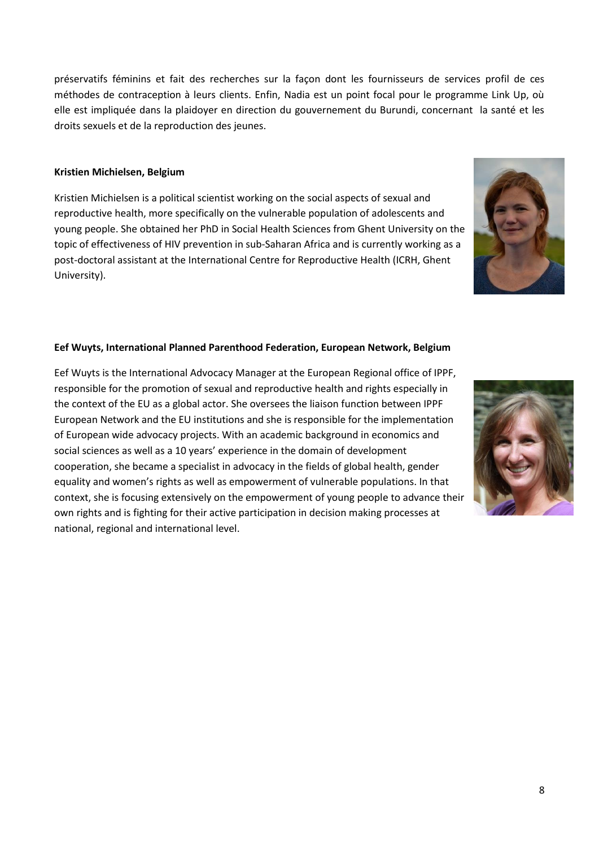préservatifs féminins et fait des recherches sur la façon dont les fournisseurs de services profil de ces méthodes de contraception à leurs clients. Enfin, Nadia est un point focal pour le programme Link Up, où elle est impliquée dans la plaidoyer en direction du gouvernement du Burundi, concernant la santé et les droits sexuels et de la reproduction des jeunes.

# **Kristien Michielsen, Belgium**

Kristien Michielsen is a political scientist working on the social aspects of sexual and reproductive health, more specifically on the vulnerable population of adolescents and young people. She obtained her PhD in Social Health Sciences from Ghent University on the topic of effectiveness of HIV prevention in sub-Saharan Africa and is currently working as a post-doctoral assistant at the International Centre for Reproductive Health (ICRH, Ghent University).

# **Eef Wuyts, International Planned Parenthood Federation, European Network, Belgium**

Eef Wuyts is the International Advocacy Manager at the European Regional office of IPPF, responsible for the promotion of sexual and reproductive health and rights especially in the context of the EU as a global actor. She oversees the liaison function between IPPF European Network and the EU institutions and she is responsible for the implementation of European wide advocacy projects. With an academic background in economics and social sciences as well as a 10 years' experience in the domain of development cooperation, she became a specialist in advocacy in the fields of global health, gender equality and women's rights as well as empowerment of vulnerable populations. In that context, she is focusing extensively on the empowerment of young people to advance their own rights and is fighting for their active participation in decision making processes at national, regional and international level.



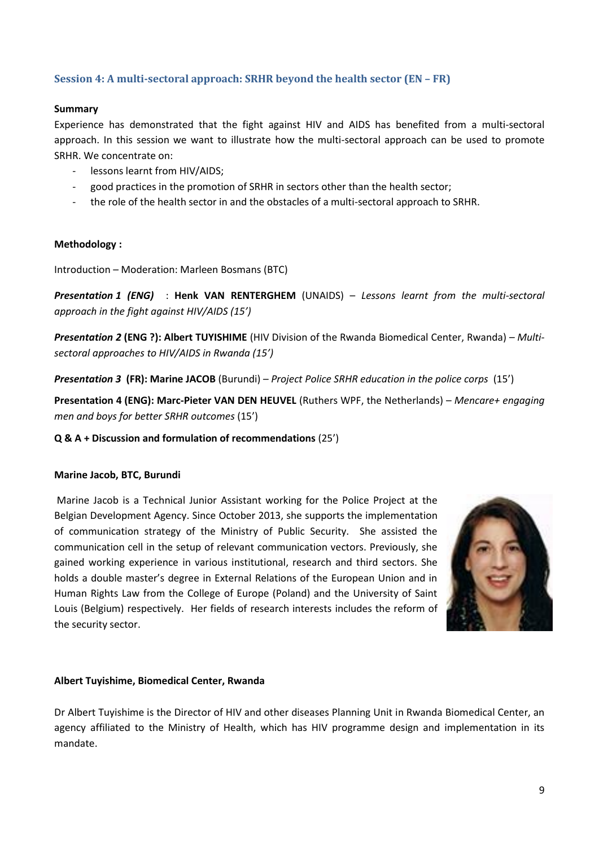# **Session 4: A multi-sectoral approach: SRHR beyond the health sector (EN – FR)**

### **Summary**

Experience has demonstrated that the fight against HIV and AIDS has benefited from a multi-sectoral approach. In this session we want to illustrate how the multi-sectoral approach can be used to promote SRHR. We concentrate on:

- lessons learnt from HIV/AIDS;
- good practices in the promotion of SRHR in sectors other than the health sector;
- the role of the health sector in and the obstacles of a multi-sectoral approach to SRHR.

# **Methodology :**

Introduction – Moderation: Marleen Bosmans (BTC)

*Presentation 1 (ENG)* : **Henk VAN RENTERGHEM** (UNAIDS) – *Lessons learnt from the multi-sectoral approach in the fight against HIV/AIDS (15')*

*Presentation 2* **(ENG ?): Albert TUYISHIME** (HIV Division of the Rwanda Biomedical Center, Rwanda) – *Multisectoral approaches to HIV/AIDS in Rwanda (15')*

*Presentation 3* **(FR): Marine JACOB** (Burundi) – *Project Police SRHR education in the police corps* (15')

**Presentation 4 (ENG): Marc-Pieter VAN DEN HEUVEL** (Ruthers WPF, the Netherlands) – *Mencare+ engaging men and boys for better SRHR outcomes* (15')

# **Q & A + Discussion and formulation of recommendations** (25')

### **Marine Jacob, BTC, Burundi**

Marine Jacob is a Technical Junior Assistant working for the Police Project at the Belgian Development Agency. Since October 2013, she supports the implementation of communication strategy of the Ministry of Public Security. She assisted the communication cell in the setup of relevant communication vectors. Previously, she gained working experience in various institutional, research and third sectors. She holds a double master's degree in External Relations of the European Union and in Human Rights Law from the College of Europe (Poland) and the University of Saint Louis (Belgium) respectively. Her fields of research interests includes the reform of the security sector.



### **Albert Tuyishime, Biomedical Center, Rwanda**

Dr Albert Tuyishime is the Director of HIV and other diseases Planning Unit in Rwanda Biomedical Center, an agency affiliated to the Ministry of Health, which has HIV programme design and implementation in its mandate.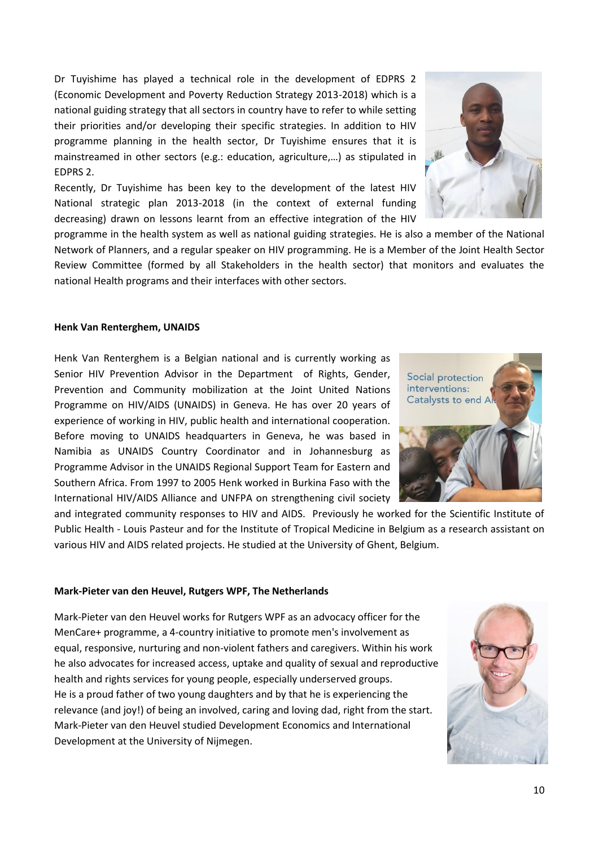Dr Tuyishime has played a technical role in the development of EDPRS 2 (Economic Development and Poverty Reduction Strategy 2013-2018) which is a national guiding strategy that all sectors in country have to refer to while setting their priorities and/or developing their specific strategies. In addition to HIV programme planning in the health sector, Dr Tuyishime ensures that it is mainstreamed in other sectors (e.g.: education, agriculture,…) as stipulated in EDPRS 2.

Recently, Dr Tuyishime has been key to the development of the latest HIV National strategic plan 2013-2018 (in the context of external funding decreasing) drawn on lessons learnt from an effective integration of the HIV



programme in the health system as well as national guiding strategies. He is also a member of the National Network of Planners, and a regular speaker on HIV programming. He is a Member of the Joint Health Sector Review Committee (formed by all Stakeholders in the health sector) that monitors and evaluates the national Health programs and their interfaces with other sectors.

#### **Henk Van Renterghem, UNAIDS**

Henk Van Renterghem is a Belgian national and is currently working as Senior HIV Prevention Advisor in the Department of Rights, Gender, Prevention and Community mobilization at the Joint United Nations Programme on HIV/AIDS (UNAIDS) in Geneva. He has over 20 years of experience of working in HIV, public health and international cooperation. Before moving to UNAIDS headquarters in Geneva, he was based in Namibia as UNAIDS Country Coordinator and in Johannesburg as Programme Advisor in the UNAIDS Regional Support Team for Eastern and Southern Africa. From 1997 to 2005 Henk worked in Burkina Faso with the International HIV/AIDS Alliance and UNFPA on strengthening civil society



and integrated community responses to HIV and AIDS. Previously he worked for the Scientific Institute of Public Health - Louis Pasteur and for the Institute of Tropical Medicine in Belgium as a research assistant on various HIV and AIDS related projects. He studied at the University of Ghent, Belgium.

#### **Mark-Pieter van den Heuvel, Rutgers WPF, The Netherlands**

Mark-Pieter van den Heuvel works for Rutgers WPF as an advocacy officer for the MenCare+ programme, a 4-country initiative to promote men's involvement as equal, responsive, nurturing and non-violent fathers and caregivers. Within his work he also advocates for increased access, uptake and quality of sexual and reproductive health and rights services for young people, especially underserved groups. He is a proud father of two young daughters and by that he is experiencing the relevance (and joy!) of being an involved, caring and loving dad, right from the start. Mark-Pieter van den Heuvel studied Development Economics and International Development at the University of Nijmegen.

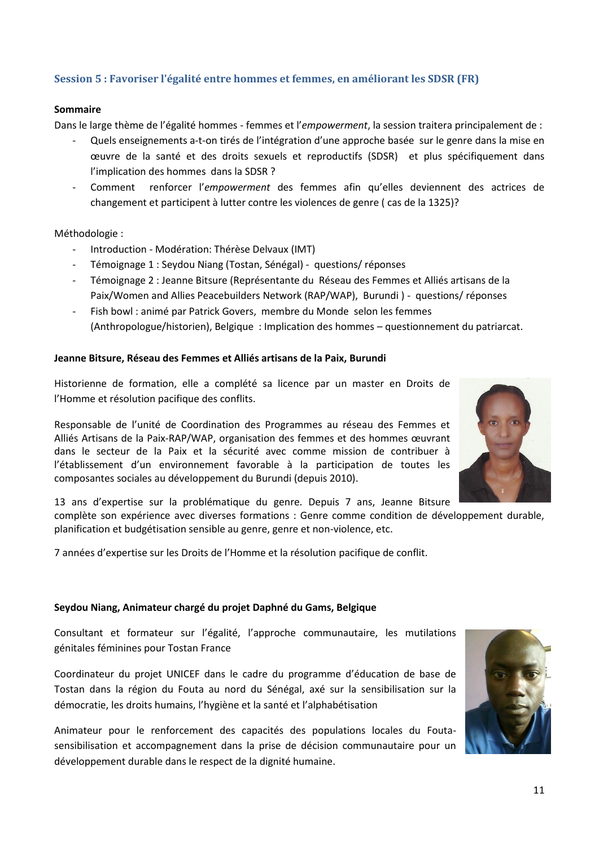# **Session 5 : Favoriser l'égalité entre hommes et femmes, en améliorant les SDSR (FR)**

#### **Sommaire**

Dans le large thème de l'égalité hommes - femmes et l'*empowerment*, la session traitera principalement de :

- Quels enseignements a-t-on tirés de l'intégration d'une approche basée sur le genre dans la mise en œuvre de la santé et des droits sexuels et reproductifs (SDSR) et plus spécifiquement dans l'implication des hommes dans la SDSR ?
- Comment renforcer l'*empowerment* des femmes afin qu'elles deviennent des actrices de changement et participent à lutter contre les violences de genre ( cas de la 1325)?

#### Méthodologie :

- Introduction Modération: Thérèse Delvaux (IMT)
- Témoignage 1 : Seydou Niang (Tostan, Sénégal) questions/ réponses
- Témoignage 2 : Jeanne Bitsure (Représentante du Réseau des Femmes et Alliés artisans de la Paix/Women and Allies Peacebuilders Network (RAP/WAP), Burundi ) - questions/ réponses
- Fish bowl : animé par Patrick Govers, membre du Monde selon les femmes (Anthropologue/historien), Belgique : Implication des hommes – questionnement du patriarcat.

#### **Jeanne Bitsure, Réseau des Femmes et Alliés artisans de la Paix, Burundi**

Historienne de formation, elle a complété sa licence par un master en Droits de l'Homme et résolution pacifique des conflits.

Responsable de l'unité de Coordination des Programmes au réseau des Femmes et Alliés Artisans de la Paix-RAP/WAP, organisation des femmes et des hommes œuvrant dans le secteur de la Paix et la sécurité avec comme mission de contribuer à l'établissement d'un environnement favorable à la participation de toutes les composantes sociales au développement du Burundi (depuis 2010).

13 ans d'expertise sur la problématique du genre. Depuis 7 ans, Jeanne Bitsure

complète son expérience avec diverses formations : Genre comme condition de développement durable, planification et budgétisation sensible au genre, genre et non-violence, etc.

7 années d'expertise sur les Droits de l'Homme et la résolution pacifique de conflit.

#### **Seydou Niang, Animateur chargé du projet Daphné du Gams, Belgique**

Consultant et formateur sur l'égalité, l'approche communautaire, les mutilations génitales féminines pour Tostan France

Coordinateur du projet UNICEF dans le cadre du programme d'éducation de base de Tostan dans la région du Fouta au nord du Sénégal, axé sur la sensibilisation sur la démocratie, les droits humains, l'hygiène et la santé et l'alphabétisation

Animateur pour le renforcement des capacités des populations locales du Foutasensibilisation et accompagnement dans la prise de décision communautaire pour un développement durable dans le respect de la dignité humaine.



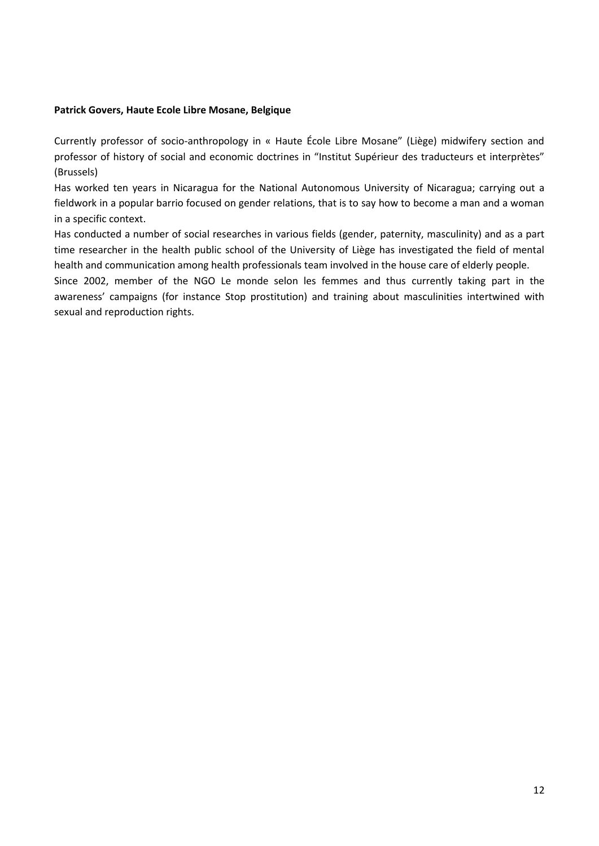### **Patrick Govers, Haute Ecole Libre Mosane, Belgique**

Currently professor of socio-anthropology in « Haute École Libre Mosane" (Liège) midwifery section and professor of history of social and economic doctrines in "Institut Supérieur des traducteurs et interprètes" (Brussels)

Has worked ten years in Nicaragua for the National Autonomous University of Nicaragua; carrying out a fieldwork in a popular barrio focused on gender relations, that is to say how to become a man and a woman in a specific context.

Has conducted a number of social researches in various fields (gender, paternity, masculinity) and as a part time researcher in the health public school of the University of Liège has investigated the field of mental health and communication among health professionals team involved in the house care of elderly people.

Since 2002, member of the NGO Le monde selon les femmes and thus currently taking part in the awareness' campaigns (for instance Stop prostitution) and training about masculinities intertwined with sexual and reproduction rights.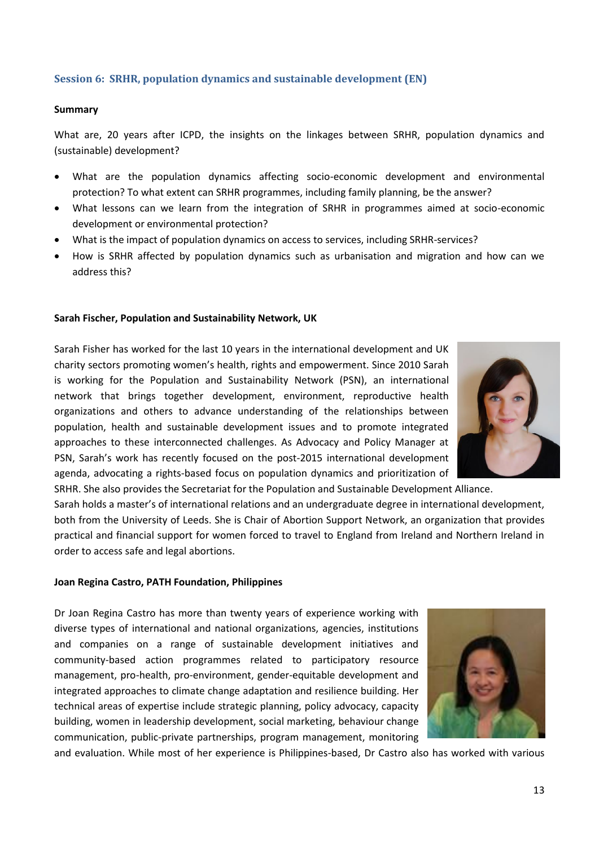# **Session 6: SRHR, population dynamics and sustainable development (EN)**

#### **Summary**

What are, 20 years after ICPD, the insights on the linkages between SRHR, population dynamics and (sustainable) development?

- What are the population dynamics affecting socio-economic development and environmental protection? To what extent can SRHR programmes, including family planning, be the answer?
- What lessons can we learn from the integration of SRHR in programmes aimed at socio-economic development or environmental protection?
- What is the impact of population dynamics on access to services, including SRHR-services?
- How is SRHR affected by population dynamics such as urbanisation and migration and how can we address this?

#### **Sarah Fischer, Population and Sustainability Network, UK**

Sarah Fisher has worked for the last 10 years in the international development and UK charity sectors promoting women's health, rights and empowerment. Since 2010 Sarah is working for the Population and Sustainability Network (PSN), an international network that brings together development, environment, reproductive health organizations and others to advance understanding of the relationships between population, health and sustainable development issues and to promote integrated approaches to these interconnected challenges. As Advocacy and Policy Manager at PSN, Sarah's work has recently focused on the post-2015 international development agenda, advocating a rights-based focus on population dynamics and prioritization of



SRHR. She also provides the Secretariat for the Population and Sustainable Development Alliance. Sarah holds a master's of international relations and an undergraduate degree in international development, both from the University of Leeds. She is Chair of Abortion Support Network, an organization that provides practical and financial support for women forced to travel to England from Ireland and Northern Ireland in order to access safe and legal abortions.

#### **Joan Regina Castro, PATH Foundation, Philippines**

Dr Joan Regina Castro has more than twenty years of experience working with diverse types of international and national organizations, agencies, institutions and companies on a range of sustainable development initiatives and community-based action programmes related to participatory resource management, pro-health, pro-environment, gender-equitable development and integrated approaches to climate change adaptation and resilience building. Her technical areas of expertise include strategic planning, policy advocacy, capacity building, women in leadership development, social marketing, behaviour change communication, public-private partnerships, program management, monitoring



and evaluation. While most of her experience is Philippines-based, Dr Castro also has worked with various